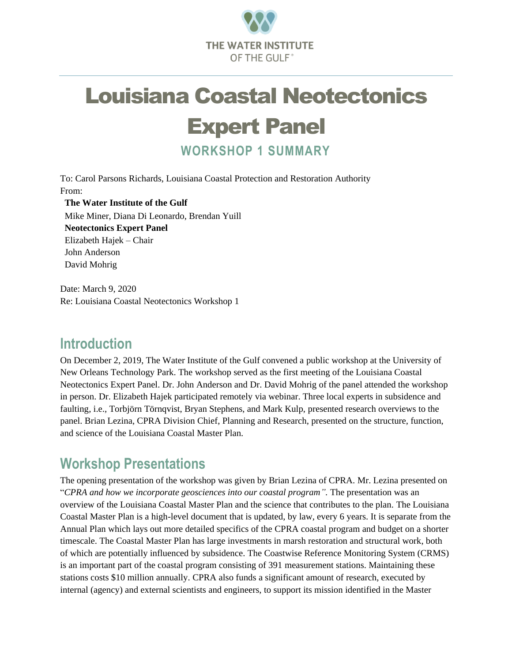

# Louisiana Coastal Neotectonics

## Expert Panel

**WORKSHOP 1 SUMMARY**

To: Carol Parsons Richards, Louisiana Coastal Protection and Restoration Authority From:

**The Water Institute of the Gulf** Mike Miner, Diana Di Leonardo, Brendan Yuill **Neotectonics Expert Panel** Elizabeth Hajek – Chair John Anderson David Mohrig

Date: March 9, 2020 Re: Louisiana Coastal Neotectonics Workshop 1

#### **Introduction**

On December 2, 2019, The Water Institute of the Gulf convened a public workshop at the University of New Orleans Technology Park. The workshop served as the first meeting of the Louisiana Coastal Neotectonics Expert Panel. Dr. John Anderson and Dr. David Mohrig of the panel attended the workshop in person. Dr. Elizabeth Hajek participated remotely via webinar. Three local experts in subsidence and faulting, i.e., Torbjörn Törnqvist, Bryan Stephens, and Mark Kulp, presented research overviews to the panel. Brian Lezina, CPRA Division Chief, Planning and Research, presented on the structure, function, and science of the Louisiana Coastal Master Plan.

### **Workshop Presentations**

The opening presentation of the workshop was given by Brian Lezina of CPRA. Mr. Lezina presented on "*CPRA and how we incorporate geosciences into our coastal program".* The presentation was an overview of the Louisiana Coastal Master Plan and the science that contributes to the plan. The Louisiana Coastal Master Plan is a high-level document that is updated, by law, every 6 years. It is separate from the Annual Plan which lays out more detailed specifics of the CPRA coastal program and budget on a shorter timescale. The Coastal Master Plan has large investments in marsh restoration and structural work, both of which are potentially influenced by subsidence. The Coastwise Reference Monitoring System (CRMS) is an important part of the coastal program consisting of 391 measurement stations. Maintaining these stations costs \$10 million annually. CPRA also funds a significant amount of research, executed by internal (agency) and external scientists and engineers, to support its mission identified in the Master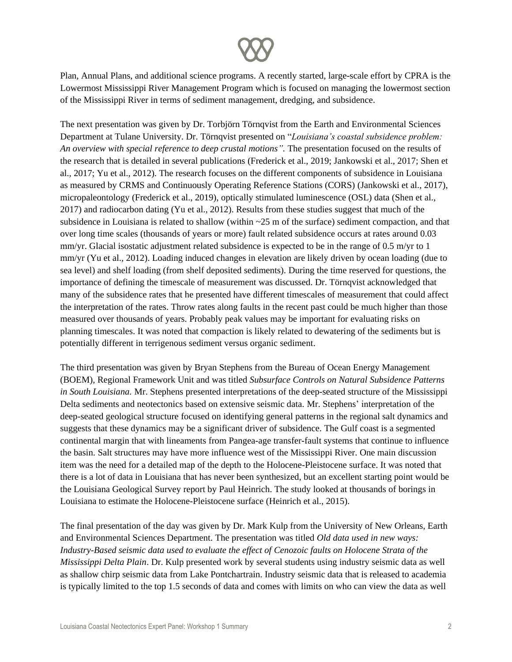

Plan, Annual Plans, and additional science programs. A recently started, large-scale effort by CPRA is the Lowermost Mississippi River Management Program which is focused on managing the lowermost section of the Mississippi River in terms of sediment management, dredging, and subsidence.

The next presentation was given by Dr. Torbjörn Törnqvist from the Earth and Environmental Sciences Department at Tulane University. Dr. Törnqvist presented on "*Louisiana's coastal subsidence problem: An overview with special reference to deep crustal motions".* The presentation focused on the results of the research that is detailed in several publications (Frederick et al., 2019; Jankowski et al., 2017; Shen et al., 2017; Yu et al., 2012). The research focuses on the different components of subsidence in Louisiana as measured by CRMS and Continuously Operating Reference Stations (CORS) (Jankowski et al., 2017), micropaleontology (Frederick et al., 2019), optically stimulated luminescence (OSL) data (Shen et al., 2017) and radiocarbon dating (Yu et al., 2012). Results from these studies suggest that much of the subsidence in Louisiana is related to shallow (within  $\sim$ 25 m of the surface) sediment compaction, and that over long time scales (thousands of years or more) fault related subsidence occurs at rates around 0.03 mm/yr. Glacial isostatic adjustment related subsidence is expected to be in the range of 0.5 m/yr to 1 mm/yr (Yu et al., 2012). Loading induced changes in elevation are likely driven by ocean loading (due to sea level) and shelf loading (from shelf deposited sediments). During the time reserved for questions, the importance of defining the timescale of measurement was discussed. Dr. Törnqvist acknowledged that many of the subsidence rates that he presented have different timescales of measurement that could affect the interpretation of the rates. Throw rates along faults in the recent past could be much higher than those measured over thousands of years. Probably peak values may be important for evaluating risks on planning timescales. It was noted that compaction is likely related to dewatering of the sediments but is potentially different in terrigenous sediment versus organic sediment.

The third presentation was given by Bryan Stephens from the Bureau of Ocean Energy Management (BOEM), Regional Framework Unit and was titled *Subsurface Controls on Natural Subsidence Patterns in South Louisiana.* Mr. Stephens presented interpretations of the deep-seated structure of the Mississippi Delta sediments and neotectonics based on extensive seismic data. Mr. Stephens' interpretation of the deep-seated geological structure focused on identifying general patterns in the regional salt dynamics and suggests that these dynamics may be a significant driver of subsidence. The Gulf coast is a segmented continental margin that with lineaments from Pangea-age transfer-fault systems that continue to influence the basin. Salt structures may have more influence west of the Mississippi River. One main discussion item was the need for a detailed map of the depth to the Holocene-Pleistocene surface. It was noted that there is a lot of data in Louisiana that has never been synthesized, but an excellent starting point would be the Louisiana Geological Survey report by Paul Heinrich. The study looked at thousands of borings in Louisiana to estimate the Holocene-Pleistocene surface (Heinrich et al., 2015).

The final presentation of the day was given by Dr. Mark Kulp from the University of New Orleans, Earth and Environmental Sciences Department. The presentation was titled *Old data used in new ways: Industry-Based seismic data used to evaluate the effect of Cenozoic faults on Holocene Strata of the Mississippi Delta Plain*. Dr. Kulp presented work by several students using industry seismic data as well as shallow chirp seismic data from Lake Pontchartrain. Industry seismic data that is released to academia is typically limited to the top 1.5 seconds of data and comes with limits on who can view the data as well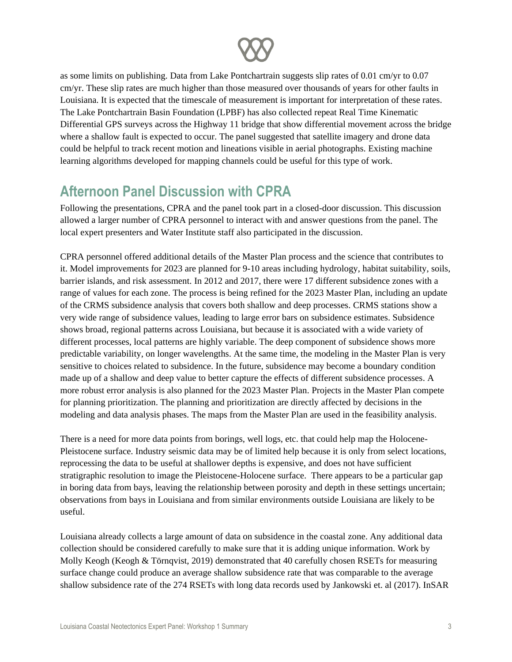

as some limits on publishing. Data from Lake Pontchartrain suggests slip rates of 0.01 cm/yr to 0.07 cm/yr. These slip rates are much higher than those measured over thousands of years for other faults in Louisiana. It is expected that the timescale of measurement is important for interpretation of these rates. The Lake Pontchartrain Basin Foundation (LPBF) has also collected repeat Real Time Kinematic Differential GPS surveys across the Highway 11 bridge that show differential movement across the bridge where a shallow fault is expected to occur. The panel suggested that satellite imagery and drone data could be helpful to track recent motion and lineations visible in aerial photographs. Existing machine learning algorithms developed for mapping channels could be useful for this type of work.

## **Afternoon Panel Discussion with CPRA**

Following the presentations, CPRA and the panel took part in a closed-door discussion. This discussion allowed a larger number of CPRA personnel to interact with and answer questions from the panel. The local expert presenters and Water Institute staff also participated in the discussion.

CPRA personnel offered additional details of the Master Plan process and the science that contributes to it. Model improvements for 2023 are planned for 9-10 areas including hydrology, habitat suitability, soils, barrier islands, and risk assessment. In 2012 and 2017, there were 17 different subsidence zones with a range of values for each zone. The process is being refined for the 2023 Master Plan, including an update of the CRMS subsidence analysis that covers both shallow and deep processes. CRMS stations show a very wide range of subsidence values, leading to large error bars on subsidence estimates. Subsidence shows broad, regional patterns across Louisiana, but because it is associated with a wide variety of different processes, local patterns are highly variable. The deep component of subsidence shows more predictable variability, on longer wavelengths. At the same time, the modeling in the Master Plan is very sensitive to choices related to subsidence. In the future, subsidence may become a boundary condition made up of a shallow and deep value to better capture the effects of different subsidence processes. A more robust error analysis is also planned for the 2023 Master Plan. Projects in the Master Plan compete for planning prioritization. The planning and prioritization are directly affected by decisions in the modeling and data analysis phases. The maps from the Master Plan are used in the feasibility analysis.

There is a need for more data points from borings, well logs, etc. that could help map the Holocene-Pleistocene surface. Industry seismic data may be of limited help because it is only from select locations, reprocessing the data to be useful at shallower depths is expensive, and does not have sufficient stratigraphic resolution to image the Pleistocene-Holocene surface. There appears to be a particular gap in boring data from bays, leaving the relationship between porosity and depth in these settings uncertain; observations from bays in Louisiana and from similar environments outside Louisiana are likely to be useful.

Louisiana already collects a large amount of data on subsidence in the coastal zone. Any additional data collection should be considered carefully to make sure that it is adding unique information. Work by Molly Keogh (Keogh & Törnqvist, 2019) demonstrated that 40 carefully chosen RSETs for measuring surface change could produce an average shallow subsidence rate that was comparable to the average shallow subsidence rate of the 274 RSETs with long data records used by Jankowski et. al (2017). InSAR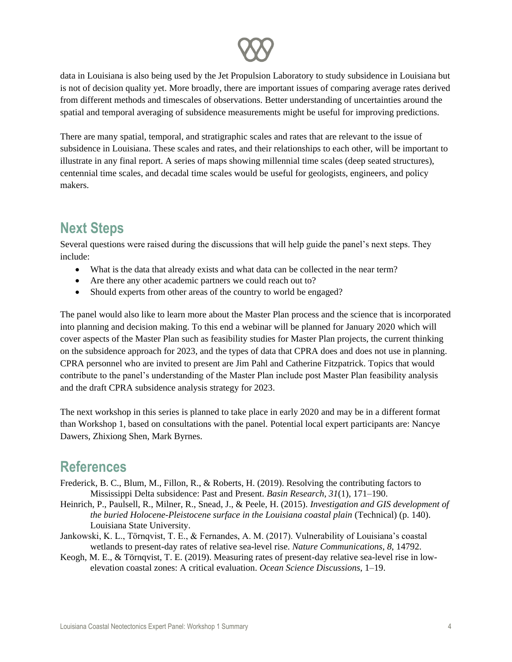

data in Louisiana is also being used by the Jet Propulsion Laboratory to study subsidence in Louisiana but is not of decision quality yet. More broadly, there are important issues of comparing average rates derived from different methods and timescales of observations. Better understanding of uncertainties around the spatial and temporal averaging of subsidence measurements might be useful for improving predictions.

There are many spatial, temporal, and stratigraphic scales and rates that are relevant to the issue of subsidence in Louisiana. These scales and rates, and their relationships to each other, will be important to illustrate in any final report. A series of maps showing millennial time scales (deep seated structures), centennial time scales, and decadal time scales would be useful for geologists, engineers, and policy makers.

#### **Next Steps**

Several questions were raised during the discussions that will help guide the panel's next steps. They include:

- What is the data that already exists and what data can be collected in the near term?
- Are there any other academic partners we could reach out to?
- Should experts from other areas of the country to world be engaged?

The panel would also like to learn more about the Master Plan process and the science that is incorporated into planning and decision making. To this end a webinar will be planned for January 2020 which will cover aspects of the Master Plan such as feasibility studies for Master Plan projects, the current thinking on the subsidence approach for 2023, and the types of data that CPRA does and does not use in planning. CPRA personnel who are invited to present are Jim Pahl and Catherine Fitzpatrick. Topics that would contribute to the panel's understanding of the Master Plan include post Master Plan feasibility analysis and the draft CPRA subsidence analysis strategy for 2023.

The next workshop in this series is planned to take place in early 2020 and may be in a different format than Workshop 1, based on consultations with the panel. Potential local expert participants are: Nancye Dawers, Zhixiong Shen, Mark Byrnes.

#### **References**

- Frederick, B. C., Blum, M., Fillon, R., & Roberts, H. (2019). Resolving the contributing factors to Mississippi Delta subsidence: Past and Present. *Basin Research*, *31*(1), 171–190.
- Heinrich, P., Paulsell, R., Milner, R., Snead, J., & Peele, H. (2015). *Investigation and GIS development of the buried Holocene-Pleistocene surface in the Louisiana coastal plain* (Technical) (p. 140). Louisiana State University.
- Jankowski, K. L., Törnqvist, T. E., & Fernandes, A. M. (2017). Vulnerability of Louisiana's coastal wetlands to present-day rates of relative sea-level rise. *Nature Communications*, *8*, 14792.
- Keogh, M. E., & Törnqvist, T. E. (2019). Measuring rates of present-day relative sea-level rise in lowelevation coastal zones: A critical evaluation. *Ocean Science Discussions*, 1–19.